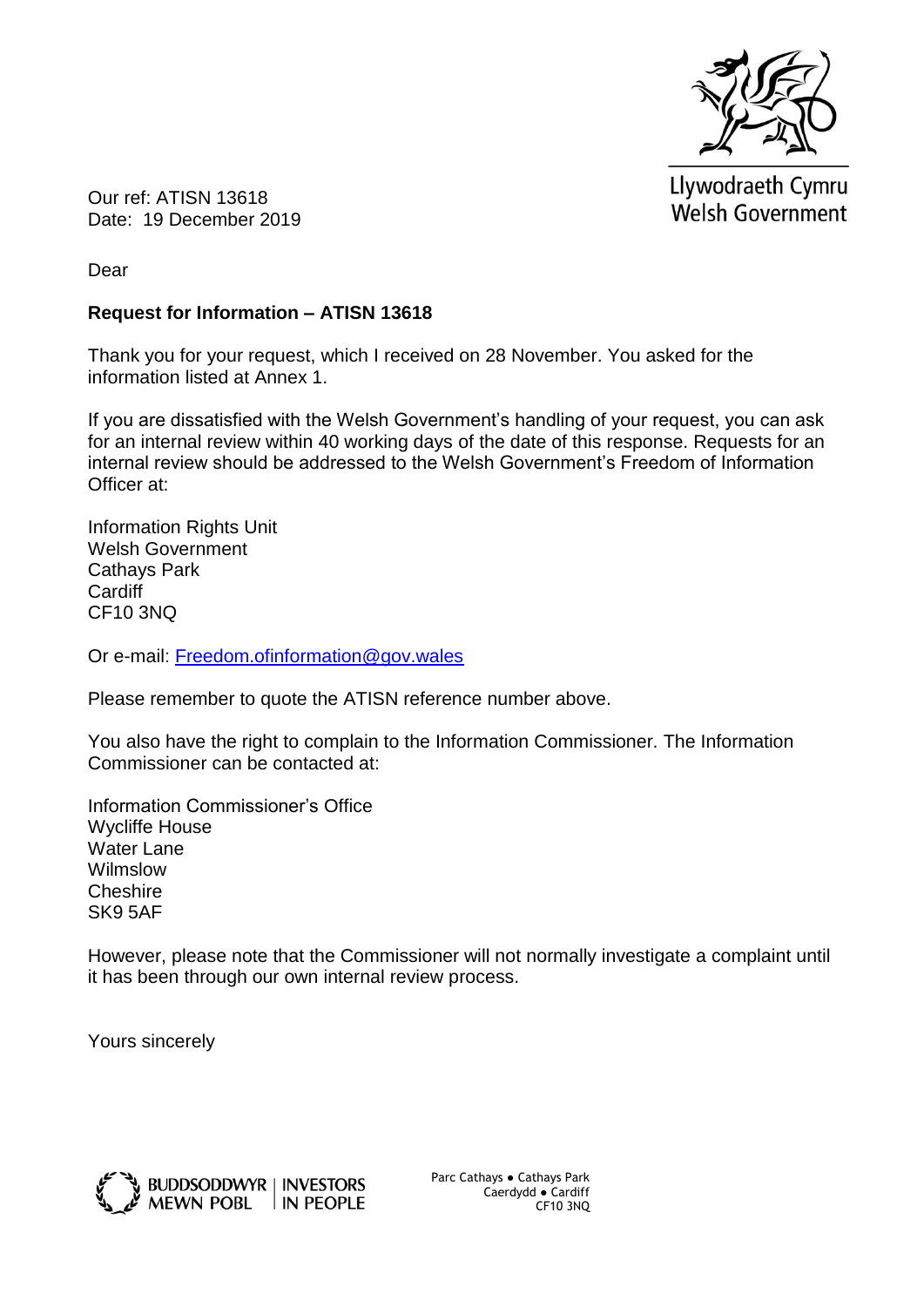

Llywodraeth Cymru **Welsh Government** 

Our ref: ATISN 13618 Date: 19 December 2019

Dear

## **Request for Information – ATISN 13618**

Thank you for your request, which I received on 28 November. You asked for the information listed at Annex 1.

If you are dissatisfied with the Welsh Government's handling of your request, you can ask for an internal review within 40 working days of the date of this response. Requests for an internal review should be addressed to the Welsh Government's Freedom of Information Officer at:

Information Rights Unit Welsh Government Cathays Park **Cardiff** CF10 3NQ

Or e-mail: [Freedom.ofinformation@gov.wales](mailto:Freedom.ofinformation@gov.wales)

Please remember to quote the ATISN reference number above.

You also have the right to complain to the Information Commissioner. The Information Commissioner can be contacted at:

Information Commissioner's Office Wycliffe House Water Lane Wilmslow Cheshire SK9 5AF

However, please note that the Commissioner will not normally investigate a complaint until it has been through our own internal review process.

Yours sincerely



Parc Cathays ● Cathays Park Caerdydd ● Cardiff CF10 3NQ